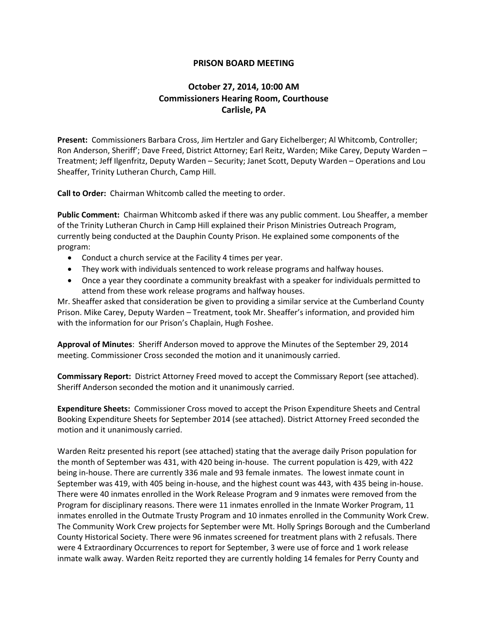## **PRISON BOARD MEETING**

## **October 27, 2014, 10:00 AM Commissioners Hearing Room, Courthouse Carlisle, PA**

**Present:** Commissioners Barbara Cross, Jim Hertzler and Gary Eichelberger; Al Whitcomb, Controller; Ron Anderson, Sheriff'; Dave Freed, District Attorney; Earl Reitz, Warden; Mike Carey, Deputy Warden – Treatment; Jeff Ilgenfritz, Deputy Warden – Security; Janet Scott, Deputy Warden – Operations and Lou Sheaffer, Trinity Lutheran Church, Camp Hill.

**Call to Order:** Chairman Whitcomb called the meeting to order.

**Public Comment:** Chairman Whitcomb asked if there was any public comment. Lou Sheaffer, a member of the Trinity Lutheran Church in Camp Hill explained their Prison Ministries Outreach Program, currently being conducted at the Dauphin County Prison. He explained some components of the program:

- Conduct a church service at the Facility 4 times per year.
- They work with individuals sentenced to work release programs and halfway houses.
- Once a year they coordinate a community breakfast with a speaker for individuals permitted to attend from these work release programs and halfway houses.

Mr. Sheaffer asked that consideration be given to providing a similar service at the Cumberland County Prison. Mike Carey, Deputy Warden – Treatment, took Mr. Sheaffer's information, and provided him with the information for our Prison's Chaplain, Hugh Foshee.

**Approval of Minutes**: Sheriff Anderson moved to approve the Minutes of the September 29, 2014 meeting. Commissioner Cross seconded the motion and it unanimously carried.

**Commissary Report:** District Attorney Freed moved to accept the Commissary Report (see attached). Sheriff Anderson seconded the motion and it unanimously carried.

**Expenditure Sheets:** Commissioner Cross moved to accept the Prison Expenditure Sheets and Central Booking Expenditure Sheets for September 2014 (see attached). District Attorney Freed seconded the motion and it unanimously carried.

Warden Reitz presented his report (see attached) stating that the average daily Prison population for the month of September was 431, with 420 being in-house. The current population is 429, with 422 being in-house. There are currently 336 male and 93 female inmates. The lowest inmate count in September was 419, with 405 being in-house, and the highest count was 443, with 435 being in-house. There were 40 inmates enrolled in the Work Release Program and 9 inmates were removed from the Program for disciplinary reasons. There were 11 inmates enrolled in the Inmate Worker Program, 11 inmates enrolled in the Outmate Trusty Program and 10 inmates enrolled in the Community Work Crew. The Community Work Crew projects for September were Mt. Holly Springs Borough and the Cumberland County Historical Society. There were 96 inmates screened for treatment plans with 2 refusals. There were 4 Extraordinary Occurrences to report for September, 3 were use of force and 1 work release inmate walk away. Warden Reitz reported they are currently holding 14 females for Perry County and